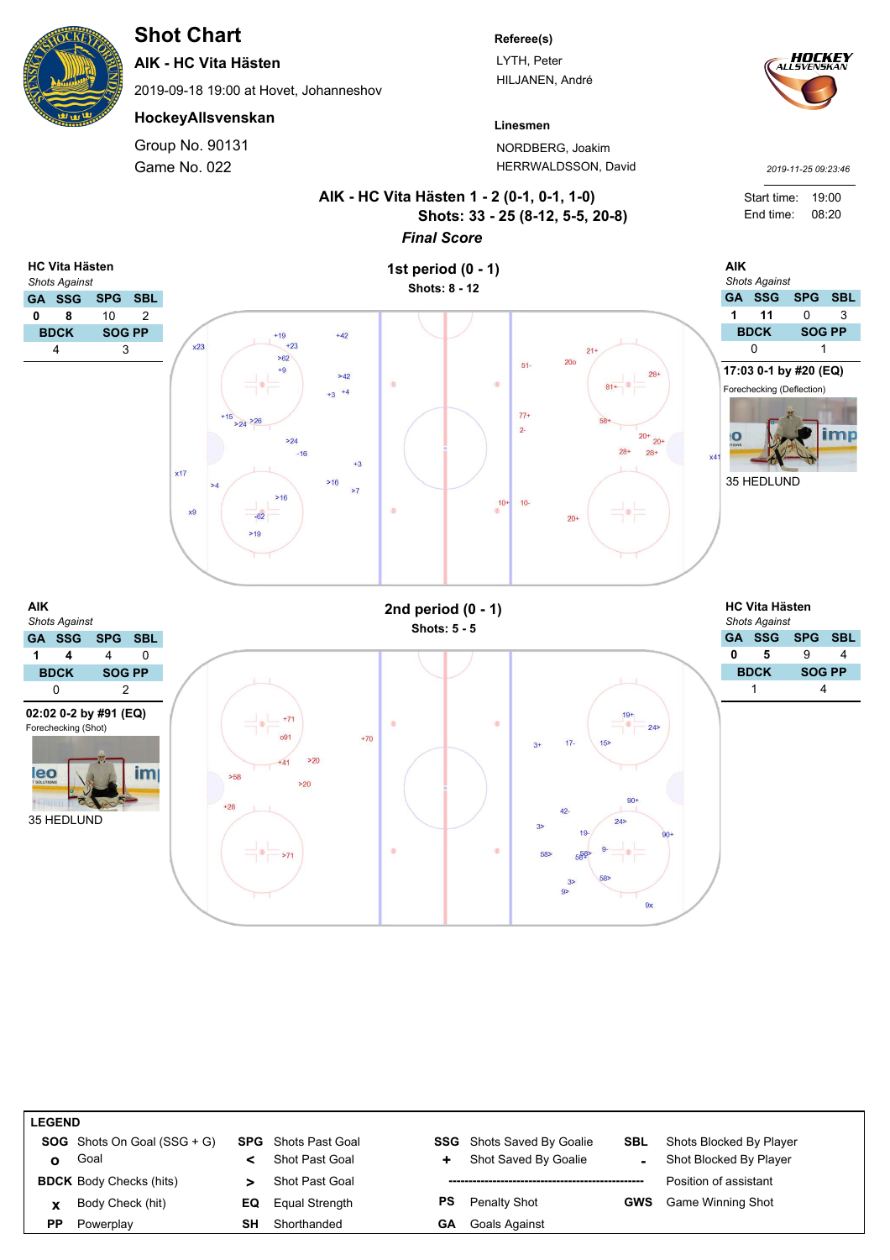# **Shot Chart**

**AIK - HC Vita Hästen**

2019-09-18 19:00 at Hovet, Johanneshov

#### **HockeyAllsvenskan**

Game No. 022 Group No. 90131

#### **Referee(s)**

LYTH, Peter HILJANEN, André



*2019-11-25 09:23:46*

**Linesmen** NORDBERG, Joakim HERRWALDSSON, David



| <b>LEGEND</b> |                                      |    |                            |    |                                  |            |                          |  |  |  |
|---------------|--------------------------------------|----|----------------------------|----|----------------------------------|------------|--------------------------|--|--|--|
|               | <b>SOG</b> Shots On Goal $(SSG + G)$ |    | <b>SPG</b> Shots Past Goal |    | <b>SSG</b> Shots Saved By Goalie | <b>SBL</b> | Shots Blocked By Player  |  |  |  |
| O             | Goal                                 |    | Shot Past Goal             | ٠  | Shot Saved By Goalie             |            | Shot Blocked By Player   |  |  |  |
|               | <b>BDCK</b> Body Checks (hits)       |    | <b>Shot Past Goal</b>      |    |                                  |            | Position of assistant    |  |  |  |
| $\mathbf{x}$  | Body Check (hit)                     | EQ | Equal Strength             | PS | Penalty Shot                     | <b>GWS</b> | <b>Game Winning Shot</b> |  |  |  |
| РP            | Powerplay                            | SΗ | Shorthanded                | GΑ | <b>Goals Against</b>             |            |                          |  |  |  |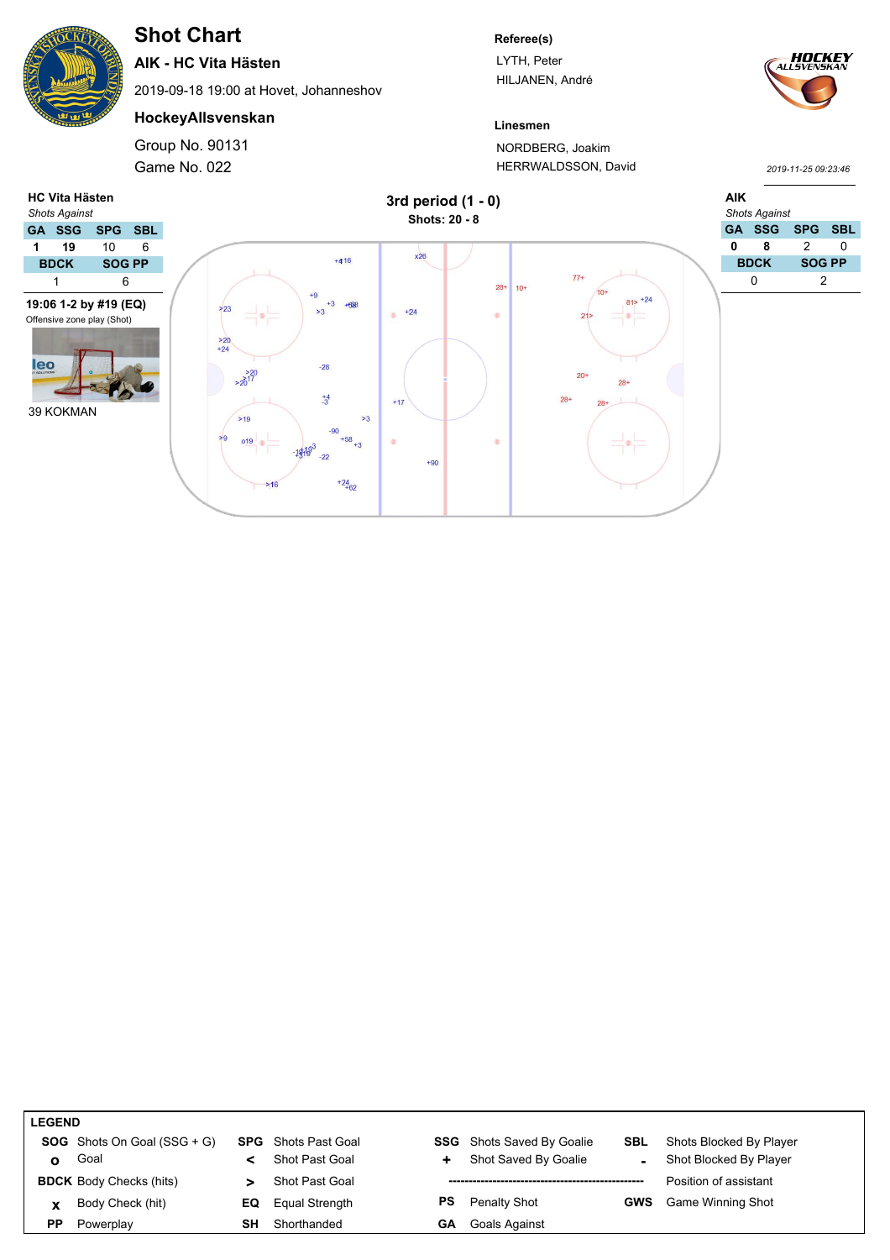# **Shot Chart**

**AIK - HC Vita Hästen**

2019-09-18 19:00 at Hovet, Johanneshov

## **HockeyAllsvenskan**

Game No. 022 Group No. 90131

#### **Referee(s)**

LYTH, Peter HILJANEN, André



*2019-11-25 09:23:46*

### **Linesmen** NORDBERG, Joakim HERRWALDSSON, David



| <b>LEGEND</b> |                                      |           |                            |     |                                  |            |                          |  |  |
|---------------|--------------------------------------|-----------|----------------------------|-----|----------------------------------|------------|--------------------------|--|--|
|               | <b>SOG</b> Shots On Goal $(SSG + G)$ |           | <b>SPG</b> Shots Past Goal |     | <b>SSG</b> Shots Saved By Goalie | SBL        | Shots Blocked By Player  |  |  |
| ο             | Goal                                 |           | Shot Past Goal             | ÷.  | Shot Saved By Goalie             |            | Shot Blocked By Player   |  |  |
|               | <b>BDCK</b> Body Checks (hits)       |           | Shot Past Goal             |     |                                  |            | Position of assistant    |  |  |
| X             | Body Check (hit)                     | EQ        | Equal Strength             | PS. | Penalty Shot                     | <b>GWS</b> | <b>Game Winning Shot</b> |  |  |
| ΡP            | Powerplay                            | <b>SH</b> | Shorthanded                | GА  | Goals Against                    |            |                          |  |  |
|               |                                      |           |                            |     |                                  |            |                          |  |  |